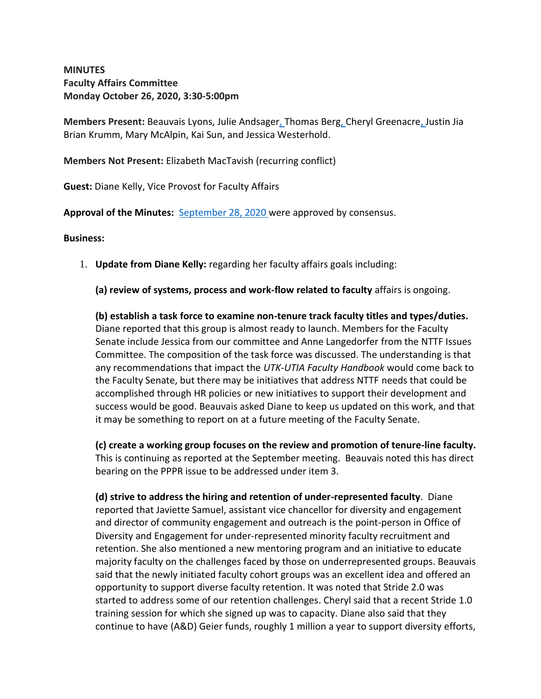## **MINUTES Faculty Affairs Committee Monday October 26, 2020, 3:30-5:00pm**

**Members Present:** Beauvais Lyons, Julie Andsager, Thomas Berg, Cheryl Greenacre, Justin Jia Brian Krumm, Mary McAlpin, Kai Sun, and Jessica Westerhold.

**Members Not Present:** Elizabeth MacTavish (recurring conflict)

**Guest:** Diane Kelly, Vice Provost for Faculty Affairs

**Approval of the Minutes:** [September 28, 2020](http://senate.utk.edu/wp-content/uploads/sites/16/2020/10/Faculty-Affairs-Minutes-9-28-2020.pdf) were approved by consensus.

### **Business:**

1. **Update from Diane Kelly:** regarding her faculty affairs goals including:

**(a) review of systems, process and work-flow related to faculty** affairs is ongoing.

**(b) establish a task force to examine non-tenure track faculty titles and types/duties.** Diane reported that this group is almost ready to launch. Members for the Faculty Senate include Jessica from our committee and Anne Langedorfer from the NTTF Issues Committee. The composition of the task force was discussed. The understanding is that any recommendations that impact the *UTK-UTIA Faculty Handbook* would come back to the Faculty Senate, but there may be initiatives that address NTTF needs that could be accomplished through HR policies or new initiatives to support their development and success would be good. Beauvais asked Diane to keep us updated on this work, and that it may be something to report on at a future meeting of the Faculty Senate.

**(c) create a working group focuses on the review and promotion of tenure-line faculty.** This is continuing as reported at the September meeting. Beauvais noted this has direct bearing on the PPPR issue to be addressed under item 3.

**(d) strive to address the hiring and retention of under-represented faculty**. Diane reported that Javiette Samuel, assistant vice chancellor for diversity and engagement and director of community engagement and outreach is the point-person in Office of Diversity and Engagement for under-represented minority faculty recruitment and retention. She also mentioned a new mentoring program and an initiative to educate majority faculty on the challenges faced by those on underrepresented groups. Beauvais said that the newly initiated faculty cohort groups was an excellent idea and offered an opportunity to support diverse faculty retention. It was noted that Stride 2.0 was started to address some of our retention challenges. Cheryl said that a recent Stride 1.0 training session for which she signed up was to capacity. Diane also said that they continue to have (A&D) Geier funds, roughly 1 million a year to support diversity efforts,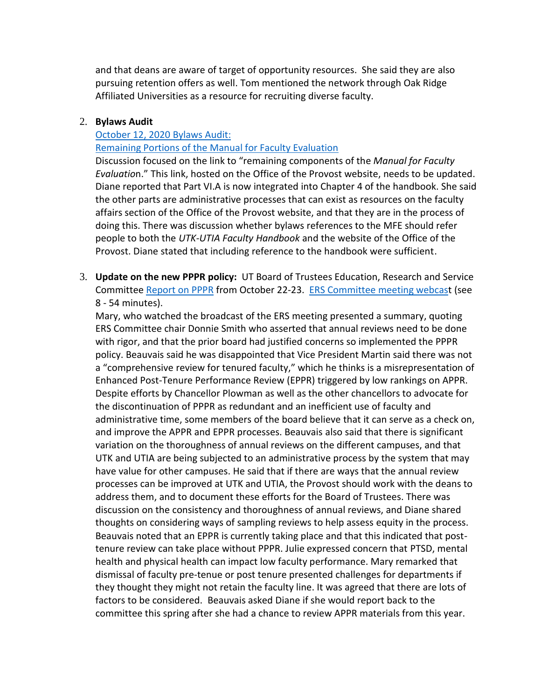and that deans are aware of target of opportunity resources. She said they are also pursuing retention offers as well. Tom mentioned the network through Oak Ridge Affiliated Universities as a resource for recruiting diverse faculty.

#### 2. **Bylaws Audit**

# [October 12, 2020](http://senate.utk.edu/wp-content/uploads/sites/16/2020/10/10-12-2020-Bylaws-Audit.pdf.) Bylaws Audit:

[Remaining Portions of the Manual for Faculty Evaluation](https://provost.utk.edu/wp-content/uploads/sites/10/2019/09/Remaining-Portions-of-the-Manual-for-Faculty-Evaluation-2019.pdf)

Discussion focused on the link to "remaining components of the *Manual for Faculty Evaluatio*n." This link, hosted on the Office of the Provost website, needs to be updated. Diane reported that Part VI.A is now integrated into Chapter 4 of the handbook. She said the other parts are administrative processes that can exist as resources on the faculty affairs section of the Office of the Provost website, and that they are in the process of doing this. There was discussion whether bylaws references to the MFE should refer people to both the *UTK-UTIA Faculty Handbook* and the website of the Office of the Provost. Diane stated that including reference to the handbook were sufficient.

3. **Update on the new PPPR policy:** UT Board of Trustees Education, Research and Service Committee Report [on PPPR](https://trustees.tennessee.edu/wp-content/uploads/sites/3/2020/10/ERS-Committee-Meeting-Appendix-Fall-2020.pdf) from October 22-23. [ERS Committee meeting webcast](https://mediasite.utk.edu/UTK/Play/3184804306c545edb9e30bd27c075b061d) (see 8 - 54 minutes).

Mary, who watched the broadcast of the ERS meeting presented a summary, quoting ERS Committee chair Donnie Smith who asserted that annual reviews need to be done with rigor, and that the prior board had justified concerns so implemented the PPPR policy. Beauvais said he was disappointed that Vice President Martin said there was not a "comprehensive review for tenured faculty," which he thinks is a misrepresentation of Enhanced Post-Tenure Performance Review (EPPR) triggered by low rankings on APPR. Despite efforts by Chancellor Plowman as well as the other chancellors to advocate for the discontinuation of PPPR as redundant and an inefficient use of faculty and administrative time, some members of the board believe that it can serve as a check on, and improve the APPR and EPPR processes. Beauvais also said that there is significant variation on the thoroughness of annual reviews on the different campuses, and that UTK and UTIA are being subjected to an administrative process by the system that may have value for other campuses. He said that if there are ways that the annual review processes can be improved at UTK and UTIA, the Provost should work with the deans to address them, and to document these efforts for the Board of Trustees. There was discussion on the consistency and thoroughness of annual reviews, and Diane shared thoughts on considering ways of sampling reviews to help assess equity in the process. Beauvais noted that an EPPR is currently taking place and that this indicated that posttenure review can take place without PPPR. Julie expressed concern that PTSD, mental health and physical health can impact low faculty performance. Mary remarked that dismissal of faculty pre-tenue or post tenure presented challenges for departments if they thought they might not retain the faculty line. It was agreed that there are lots of factors to be considered. Beauvais asked Diane if she would report back to the committee this spring after she had a chance to review APPR materials from this year.